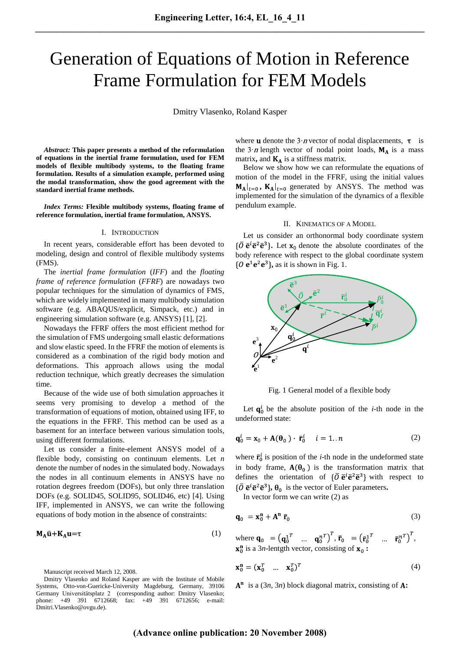# Generation of Equations of Motion in Reference Frame Formulation for FEM Models

Dmitry Vlasenko, Roland Kasper

*Abstract:* **This paper presents a method of the reformulation of equations in the inertial frame formulation, used for FEM models of flexible multibody systems, to the floating frame formulation. Results of a simulation example, performed using the modal transformation, show the good agreement with the standard inertial frame methods.**

*Index Terms:* **Flexible multibody systems, floating frame of reference formulation, inertial frame formulation, ANSYS.**

## I. INTRODUCTION

In recent years, considerable effort has been devoted to modeling, design and control of flexible multibody systems (FMS).

The *inertial frame formulation* (*IFF*) and the *floating frame of reference formulation* (*FFRF*) are nowadays two popular techniques for the simulation of dynamics of FMS, which are widely implemented in many multibody simulation software (e.g. ABAQUS/explicit, Simpack, etc.) and in engineering simulation software (e.g. ANSYS) [1], [2].

Nowadays the FFRF offers the most efficient method for the simulation of FMS undergoing small elastic deformations and slow elastic speed. In the FFRF the motion of elements is considered as a combination of the rigid body motion and deformations. This approach allows using the modal reduction technique, which greatly decreases the simulation time.

Because of the wide use of both simulation approaches it seems very promising to develop a method of the transformation of equations of motion, obtained using IFF, to the equations in the FFRF. This method can be used as a basement for an interface between various simulation tools, using different formulations.

Let us consider a finite-element ANSYS model of a flexible body, consisting on continuum elements. Let *n* denote the number of nodes in the simulated body. Nowadays the nodes in all continuum elements in ANSYS have no rotation degrees freedom (DOFs), but only three translation DOFs (e.g. SOLID45, SOLID95, SOLID46, etc) [4]. Using IFF, implemented in ANSYS, we can write the following equations of body motion in the absence of constraints:

$$
M_A \ddot{u} + K_A u = \tau \tag{1}
$$

Manuscript received March 12, 2008.

Dmitry Vlasenko and Roland Kasper are with the Institute of Mobile Systems, Otto-von-Guericke-University Magdeburg, Germany, 39106 Germany Universitätsplatz 2 (corresponding author: Dmitry Vlasenko; phone: +49 391 6712668; fax: +49 391 6712656; e-mail: Dmitri.Vlasenko@ovgu.de).

where **u** denote the  $3 \cdot n$  vector of nodal displacements,  $\tau$  is the  $3 \cdot n$  length vector of nodal point loads,  $M_A$  is a mass matrix, and  $K_A$  is a stiffness matrix.

Below we show how we can reformulate the equations of motion of the model in the FFRF, using the initial values  $\mathbf{M}_{\mathbf{A}}|_{t=0}$ ,  $\mathbf{K}_{\mathbf{A}}|_{t=0}$  generated by ANSYS. The method was implemented for the simulation of the dynamics of a flexible pendulum example.

## II. KINEMATICS OF A MODEL

Let us consider an orthonormal body coordinate system  $\{\overline{O} \overline{e}^i \overline{e}^2 \overline{e}^3\}$ . Let  $x_0$  denote the absolute coordinates of the body reference with respect to the global coordinate system  $\{O \mathbf{e}^1 \mathbf{e}^2 \mathbf{e}^3\}$ , as it is shown in Fig. 1.



Fig. 1 General model of a flexible body

Let  $q_0^i$  be the absolute position of the *i*-th node in the undeformed state:

$$
\mathbf{q}_0^i = \mathbf{x}_0 + \mathbf{A}(\mathbf{\theta}_0) \cdot \vec{\mathbf{r}}_0^i \quad i = 1...n \tag{2}
$$

where  $\mathbf{r}_0^i$  is position of the *i*-th node in the undeformed state in body frame,  $A(\theta_0)$  is the transformation matrix that defines the orientation of  $\{\overline{O} \overline{e}^i \overline{e}^2 \overline{e}^3\}$  with respect to  $\{\overline{O} \overline{e}^i \overline{e}^2 \overline{e}^3\}$ ,  $\theta_0$  is the vector of Euler parameters.

In vector form we can write (2) as

$$
\mathbf{q}_0 = \mathbf{x}_0^{\mathbf{n}} + \mathbf{A}^{\mathbf{n}} \ \overline{\mathbf{r}}_0 \tag{3}
$$

where  $\mathbf{q}_0 = (\mathbf{q}_0^1{}^T \dots \mathbf{q}_0^n{}^T)^T$ ,  $\mathbf{\bar{r}}_0 = (\mathbf{\bar{r}}_0^1{}^T \dots \mathbf{\bar{r}}_0^n{}^T)^T$ , is a 3*n*-lentgth vector, consisting of  $x_0$ :

$$
\mathbf{x}_0^{\mathbf{n}} = (\mathbf{x}_0^T \quad \dots \quad \mathbf{x}_0^T)^T \tag{4}
$$

 $A<sup>n</sup>$  is a (3*n*, 3*n*) block diagonal matrix, consisting of A: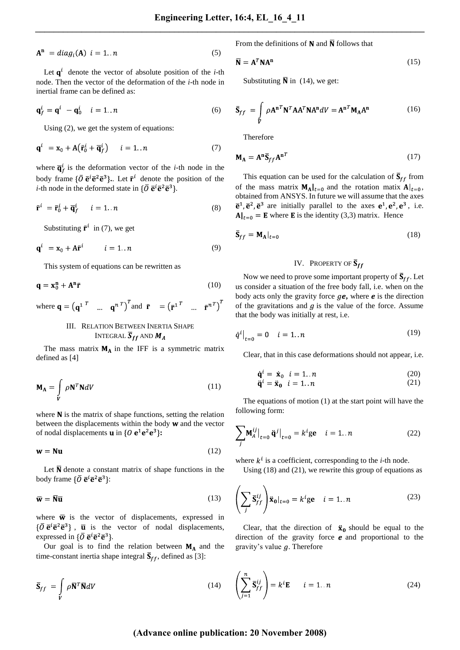$$
\mathbf{A}^{\mathbf{n}} = diag_i(\mathbf{A}) \ \ i = 1 \ \ n \tag{5}
$$

Let  $q^i$  denote the vector of absolute position of the *i*-th node. Then the vector of the deformation of the *i*-th node in inertial frame can be defined as:

$$
\mathbf{q}_f^i = \mathbf{q}^i - \mathbf{q}_0^i \quad i = 1..n
$$
 (6)

Using (2), we get the system of equations:

$$
\mathbf{q}^i = \mathbf{x}_0 + \mathbf{A} \big( \bar{\mathbf{r}}_0^i + \overline{\mathbf{q}}_f^i \big) \qquad i = 1..n \tag{7}
$$

where  $\overline{\mathbf{q}}_f^i$  is the deformation vector of the *i*-th node in the body frame  $\{\overline{O} \overline{e}^i \overline{e}^2 \overline{e}^3\}$ . Let  $\overline{r}^i$  denote the position of the *i*-th node in the deformed state in  $\{\overline{O} \overline{e}^i \overline{e}^2 \overline{e}^3\}$ .

$$
\bar{\mathbf{r}}^i = \bar{\mathbf{r}}_0^i + \bar{\mathbf{q}}_f^i \qquad i = 1..n \tag{8}
$$

Substituting  $\bar{\mathbf{r}}^i$  in (7), we get

$$
\mathbf{q}^i = \mathbf{x}_0 + \mathbf{A}\mathbf{\bar{r}}^i \qquad i = 1..n \tag{9}
$$

This system of equations can be rewritten as

$$
\mathbf{q} = \mathbf{x}_0^{\mathbf{n}} + \mathbf{A}^{\mathbf{n}} \mathbf{\bar{r}} \tag{10}
$$

where 
$$
\mathbf{q} = (\mathbf{q}^1)^T \dots \mathbf{q}^n)^T
$$
 and  $\mathbf{\bar{r}} = (\mathbf{\bar{r}}^1)^T \dots \mathbf{\bar{r}}^n)^T$ 

# III. RELATION BETWEEN INERTIA SHAPE INTEGRAL  $\overline{S}_{ff}$  and  $M_A$

The mass matrix  $M_A$  in the IFF is a symmetric matrix defined as [4]

$$
\mathbf{M}_{\mathbf{A}} = \int_{V} \rho \mathbf{N}^{T} \mathbf{N} dV \tag{11}
$$

where  $N$  is the matrix of shape functions, setting the relation between the displacements within the body  $w$  and the vector of nodal displacements **u** in  $\{0 \, \mathbf{e}^1 \mathbf{e}^2 \mathbf{e}^3\}$ :

$$
\mathbf{w} = \mathbf{Nu} \tag{12}
$$

Let  $\overline{N}$  denote a constant matrix of shape functions in the body frame  $\{\overline{O} \overline{e}^i \overline{e}^2 \overline{e}^3\}$ :

$$
\overline{\mathbf{w}} = \overline{\mathbf{N}} \overline{\mathbf{u}} \tag{13}
$$

where  $\overline{w}$  is the vector of displacements, expressed in  $\{\overline{O} \overline{e}^{i} \overline{e}^{2} \overline{e}^{3}\}$ ,  $\overline{u}$  is the vector of nodal displacements, expressed in  $\{\overline{O} \overline{\mathbf{e}}^i \overline{\mathbf{e}}^2 \overline{\mathbf{e}}^3\}$ .

Our goal is to find the relation between  $M_A$  and the time-constant inertia shape integral  $\bar{S}_{ff}$ , defined as [3]:

$$
\overline{\mathbf{S}}_{ff} = \int_{V} \rho \overline{\mathbf{N}}^{T} \overline{\mathbf{N}} dV
$$
 (14)

From the definitions of  $N$  and  $\overline{N}$  follows that

$$
\overline{\mathbf{N}} = \mathbf{A}^T \mathbf{N} \mathbf{A}^{\mathbf{n}} \tag{15}
$$

Substituting  $\overline{N}$  in (14), we get:

$$
\overline{\mathbf{S}}_{ff} = \int_{V} \rho \mathbf{A}^{\mathbf{n}T} \mathbf{N}^{T} \mathbf{A} \mathbf{A}^{T} \mathbf{N} \mathbf{A}^{\mathbf{n}} dV = \mathbf{A}^{\mathbf{n}T} \mathbf{M}_{\mathbf{A}} \mathbf{A}^{\mathbf{n}} \tag{16}
$$

Therefore

$$
\mathbf{M}_{\mathbf{A}} = \mathbf{A}^{\mathbf{n}} \overline{\mathbf{S}}_{ff} \mathbf{A}^{\mathbf{n}T} \tag{17}
$$

This equation can be used for the calculation of  $\overline{S}_{ff}$  from of the mass matrix  $M_A|_{t=0}$  and the rotation matix  $A|_{t=0}$ , obtained from ANSYS. In future we will assume that the axes  $\bar{\mathbf{e}}^1$ ,  $\bar{\mathbf{e}}^2$ ,  $\bar{\mathbf{e}}^3$  are initially parallel to the axes  $\mathbf{e}^1$ ,  $\mathbf{e}^2$ ,  $\mathbf{e}^3$ , i.e.  $A|_{t=0}$  = **E** where **E** is the identity (3,3) matrix. Hence

$$
\overline{\mathbf{S}}_{ff} = \mathbf{M}_{\mathbf{A}}|_{t=0} \tag{18}
$$

## IV. PROPERTY OF  $\overline{S}_{ff}$

Now we need to prove some important property of  $\overline{S}_{ff}$ . Let us consider a situation of the free body fall, i.e. when on the body acts only the gravity force  $ge$ , where  $e$  is the direction of the gravitations and  $g$  is the value of the force. Assume that the body was initially at rest, i.e.

$$
\dot{q}^i\big|_{t=0} = 0 \quad i = 1..n \tag{19}
$$

Clear, that in this case deformations should not appear, i.e.

$$
\dot{\mathbf{q}}^i = \dot{\mathbf{x}}_0 \quad i = 1..n \tag{20}
$$

$$
\ddot{\mathbf{q}}^i = \ddot{\mathbf{x}}_0 \quad i = 1..n \tag{21}
$$

The equations of motion (1) at the start point will have the following form:

$$
\sum_{j} \mathbf{M}_{A}^{ij} \big|_{t=0} \ddot{\mathbf{q}}^{j} \big|_{t=0} = k^{i} \mathbf{g} \mathbf{e} \quad i = 1..n \tag{22}
$$

where  $k^i$  is a coefficient, corresponding to the *i*-th node.

Using  $(18)$  and  $(21)$ , we rewrite this group of equations as

$$
\left(\sum_{j} \overline{\mathbf{S}}_{ff}^{ij}\right) \ddot{\mathbf{x}}_{0}|_{t=0} = k^{i} \mathbf{g} \mathbf{e} \quad i = 1..n
$$
 (23)

Clear, that the direction of  $\ddot{x}_0$  should be equal to the direction of the gravity force  $e$  and proportional to the gravity's value  $q$ . Therefore

$$
\left(\sum_{j=1}^{n} \overline{\mathbf{S}}_{ff}^{ij}\right) = k^{i} \mathbf{E} \qquad i = 1..n
$$
 (24)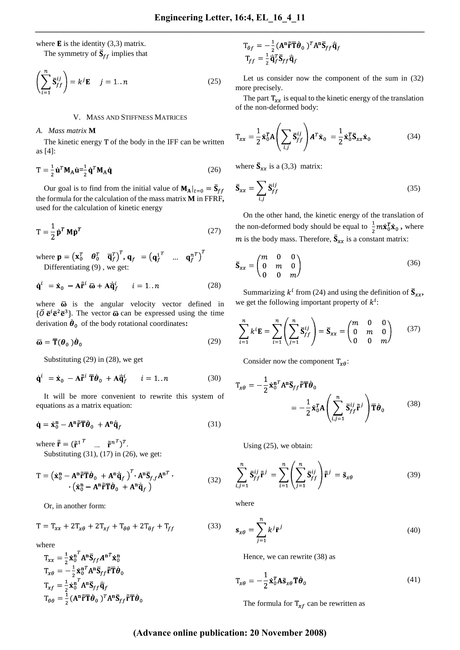where  $\bf{E}$  is the identity (3,3) matrix. The symmetry of  $\overline{S}_{ff}$  implies that

$$
\left(\sum_{i=1}^{n} \overline{\mathbf{S}}_{ff}^{ij}\right) = k^{j} \mathbf{E} \quad j = 1..n
$$
 (25)

#### V. MASS AND STIFFNESS MATRICES

#### *A. Mass matrix* **M**

The kinetic energy T of the body in the IFF can be written as [4]:

$$
T = \frac{1}{2} \dot{\mathbf{u}}^T \mathbf{M}_A \dot{\mathbf{u}} = \frac{1}{2} \dot{\mathbf{q}}^T \mathbf{M}_A \dot{\mathbf{q}} \tag{26}
$$

Our goal is to find from the initial value of  $M_A|_{t=0} = \overline{S}_{ff}$ the formula for the calculation of the mass matrix **M** in FFRF**,** used for the calculation of kinetic energy

$$
T = \frac{1}{2} \dot{\mathbf{p}}^T \mathbf{M} \dot{\mathbf{p}}^T
$$
 (27)

where  $\mathbf{p} = (\mathbf{x}_0^T \quad \boldsymbol{\theta}_0^T \quad \overline{\mathbf{q}}_f^T)^T$ ,  $\mathbf{q}_f = (\mathbf{q}_f^1 \quad \dots \quad \mathbf{q}_f^n)^T$ Differentiating (9) , we get:

$$
\dot{\mathbf{q}}^{i} = \dot{\mathbf{x}}_{0} - \mathbf{A}\tilde{\mathbf{r}}^{i} \overline{\omega} + \mathbf{A}\dot{\overline{\mathbf{q}}}_{f}^{i} \qquad i = 1..n \tag{28}
$$

where  $\overline{\omega}$  is the angular velocity vector defined in  $\{\overline{O} \overline{e}^i \overline{e}^2 \overline{e}^3\}$ . The vector  $\overline{\omega}$  can be expressed using the time derivation  $\dot{\boldsymbol{\theta}}_0$  of the body rotational coordinates:

$$
\overline{\omega} = \overline{\mathbf{T}}(\boldsymbol{\theta}_0) \dot{\boldsymbol{\theta}}_0 \tag{29}
$$

Substituting (29) in (28), we get

$$
\dot{\mathbf{q}}^{i} = \dot{\mathbf{x}}_{0} - \mathbf{A}\tilde{\mathbf{r}}^{i} \overline{\mathbf{T}} \dot{\boldsymbol{\theta}}_{0} + \mathbf{A}\dot{\overline{\mathbf{q}}}_{f}^{i} \qquad i = 1..n \tag{30}
$$

It will be more convenient to rewrite this system of equations as a matrix equation:

$$
\dot{\mathbf{q}} = \dot{\mathbf{x}}_0^n - \mathbf{A}^\mathbf{n} \tilde{\mathbf{r}} \overline{\mathbf{T}} \dot{\boldsymbol{\theta}}_0 + \mathbf{A}^\mathbf{n} \dot{\overline{\mathbf{q}}}_f \tag{31}
$$

where  $\tilde{\mathbf{r}} = (\tilde{\mathbf{r}}^{1^T} \quad \dots \quad \tilde{\mathbf{r}}^{n^T})^T$ . Substituting (31), (17) in (26), we get:

$$
T = \left(\dot{\mathbf{x}}_0^n - \mathbf{A}^n \tilde{\mathbf{r}} \overline{\mathbf{T}} \dot{\boldsymbol{\theta}}_0 + \mathbf{A}^n \dot{\overline{\mathbf{q}}}_f\right)^T \cdot \mathbf{A}^n \overline{\mathbf{S}}_{f,f} \mathbf{A}^{nT} \cdot \left(\dot{\mathbf{x}}_0^n - \mathbf{A}^n \tilde{\mathbf{r}} \overline{\mathbf{T}} \dot{\boldsymbol{\theta}}_0 + \mathbf{A}^n \dot{\overline{\mathbf{q}}}_f\right) \tag{32}
$$

Or, in another form:

$$
T = T_{xx} + 2T_{x\theta} + 2T_{xf} + T_{\theta\theta} + 2T_{\theta f} + T_{ff}
$$
 (33)

where

$$
T_{xx} = \frac{1}{2} \dot{\mathbf{x}}_0^{n'} A^n \overline{\mathbf{S}}_{ff} A^{nT} \dot{\mathbf{x}}_0^n
$$
  
\n
$$
T_{x\theta} = -\frac{1}{2} \dot{\mathbf{x}}_0^{nT} A^n \overline{\mathbf{S}}_{ff} \tilde{\mathbf{r}} \mathbf{T} \dot{\boldsymbol{\theta}}_0
$$
  
\n
$$
T_{xf} = \frac{1}{2} \dot{\mathbf{x}}_0^{n} A^n \overline{\mathbf{S}}_{ff} \dot{\overline{\mathbf{q}}}_f
$$
  
\n
$$
T_{\theta\theta} = \frac{1}{2} (A^n \tilde{\mathbf{r}} \mathbf{T} \dot{\boldsymbol{\theta}}_0)^T A^n \overline{\mathbf{S}}_{ff} \tilde{\mathbf{r}} \mathbf{T} \dot{\boldsymbol{\theta}}_0
$$

$$
T_{\theta f} = -\frac{1}{2} (A^{n} \tilde{r} \overline{T} \dot{\theta}_{0})^{T} A^{n} \overline{S}_{ff} \dot{\overline{q}}_{f}
$$

$$
T_{ff} = \frac{1}{2} \dot{\overline{q}}_{f}^{T} \overline{S}_{ff} \dot{\overline{q}}_{f}
$$

Let us consider now the component of the sum in (32) more precisely.

The part  $T_{xx}$  is equal to the kinetic energy of the translation of the non-deformed body:

$$
T_{xx} = \frac{1}{2} \dot{\mathbf{x}}_0^T \mathbf{A} \left( \sum_{i,j} \overline{\mathbf{S}}_{ff}^{ij} \right) \mathbf{A}^T \dot{\mathbf{x}}_0 = \frac{1}{2} \dot{\mathbf{x}}_0^T \overline{\mathbf{S}}_{xx} \dot{\mathbf{x}}_0
$$
(34)

where  $\overline{S}_{xx}$  is a (3,3) matrix:

$$
\overline{\mathbf{S}}_{xx} = \sum_{i,j} \overline{\mathbf{S}}_{ff}^{ij} \tag{35}
$$

On the other hand, the kinetic energy of the translation of the non-deformed body should be equal to  $\frac{1}{2}m\dot{\mathbf{x}}_0^T\dot{\mathbf{x}}_0$ , where m is the body mass. Therefore,  $\overline{S}_{xx}$  is a constant matrix:

$$
\overline{\mathbf{S}}_{xx} = \begin{pmatrix} m & 0 & 0 \\ 0 & m & 0 \\ 0 & 0 & m \end{pmatrix} \tag{36}
$$

Summarizing  $k^i$  from (24) and using the definition of  $\bar{S}_{xx}$ , we get the following important property of  $k^{i}$ :

$$
\sum_{i=1}^{n} k^{i} \mathbf{E} = \sum_{i=1}^{n} \left( \sum_{j=1}^{n} \overline{\mathbf{S}}_{ff}^{ij} \right) = \overline{\mathbf{S}}_{xx} = \begin{pmatrix} m & 0 & 0 \\ 0 & m & 0 \\ 0 & 0 & m \end{pmatrix}
$$
 (37)

Consider now the component  $T_{\chi\theta}$ :

$$
T_{x\theta} = -\frac{1}{2} \dot{\mathbf{x}}_0^{n} A^n \overline{\mathbf{S}}_{ff} \tilde{\mathbf{r}} \overline{\mathbf{T}} \dot{\boldsymbol{\theta}}_0
$$
  

$$
= -\frac{1}{2} \dot{\mathbf{x}}_0^T A \left( \sum_{i,j=1}^n \overline{\mathbf{S}}_{ff}^{ij} \tilde{\mathbf{r}}^j \right) \overline{\mathbf{T}} \dot{\boldsymbol{\theta}}_0
$$
(38)

Using (25), we obtain:

$$
\sum_{i,j=1}^{n} \overline{\mathbf{S}}_{ff}^{ij} \tilde{\mathbf{F}}^{j} = \sum_{i=1}^{n} \left( \sum_{j=1}^{n} \overline{\mathbf{S}}_{ff}^{ij} \right) \tilde{\mathbf{F}}^{j} = \tilde{\mathbf{s}}_{x\theta}
$$
(39)

where

$$
\mathbf{s}_{x\theta} = \sum_{j=1}^{n} k^j \bar{\mathbf{r}}^j
$$
 (40)

Hence, we can rewrite (38) as

$$
\mathbf{T}_{x\theta} = -\frac{1}{2} \dot{\mathbf{x}}_0^T \mathbf{A} \tilde{\mathbf{s}}_{x\theta} \overline{\mathbf{T}} \dot{\boldsymbol{\theta}}_0
$$
(41)

The formula for  $T_{xf}$  can be rewritten as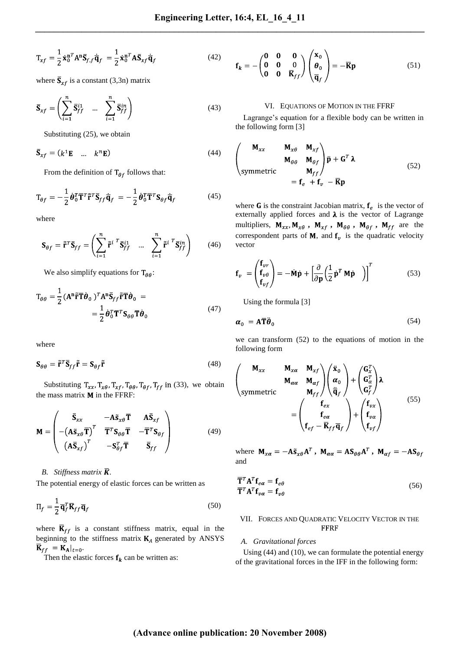$$
T_{xf} = \frac{1}{2} \dot{\mathbf{x}}_0^{n} A^n \overline{\mathbf{S}}_{f,f} \dot{\overline{\mathbf{q}}}_f = \frac{1}{2} \dot{\mathbf{x}}_0^{n} A \overline{\mathbf{S}}_{xf} \dot{\overline{\mathbf{q}}}_f
$$
(42)

where  $\overline{S}_{xf}$  is a constant (3,3n) matrix

$$
\overline{\mathbf{S}}_{xf} = \left(\sum_{i=1}^{n} \overline{\mathbf{S}}_{ff}^{i1} \quad \dots \quad \sum_{i=1}^{n} \overline{\mathbf{S}}_{ff}^{in}\right) \tag{43}
$$

Substituting (25), we obtain

$$
\overline{\mathbf{S}}_{xf} = (k^1 \mathbf{E} \quad \dots \quad k^n \mathbf{E}) \tag{44}
$$

From the definition of  $T_{\theta f}$  follows that:

$$
T_{\theta f} = -\frac{1}{2} \dot{\boldsymbol{\theta}}_0^T \overline{\mathbf{T}}^T \tilde{\mathbf{r}}^T \overline{\mathbf{S}}_{ff} \overline{\mathbf{q}}_f = -\frac{1}{2} \dot{\boldsymbol{\theta}}_0^T \overline{\mathbf{T}}^T \mathbf{S}_{\theta f} \overline{\mathbf{q}}_f \tag{45}
$$

where

$$
\mathbf{S}_{\theta f} = \tilde{\mathbf{r}}^T \overline{\mathbf{S}}_{ff} = \left( \sum_{i=1}^n \tilde{\mathbf{r}}^{i} \right)^T \overline{\mathbf{S}}_{ff}^{i1} \quad \dots \quad \sum_{i=1}^n \tilde{\mathbf{r}}^{i} \right)^T \overline{\mathbf{S}}_{ff}^{in} \tag{46}
$$

We also simplify equations for  $T_{\theta\theta}$ :

$$
T_{\theta\theta} = \frac{1}{2} (A^{n} \tilde{r} \overline{T} \dot{\theta}_{0})^{T} A^{n} \overline{S}_{ff} \tilde{r} \overline{T} \dot{\theta}_{0} =
$$
  

$$
= \frac{1}{2} \dot{\theta}_{0}^{T} \overline{T}^{T} S_{\theta\theta} \overline{T} \dot{\theta}_{0}
$$
(47)

where

$$
\mathbf{S}_{\theta\theta} = \tilde{\mathbf{r}}^T \overline{\mathbf{S}}_{ff} \tilde{\mathbf{r}} = \mathbf{S}_{\theta f} \tilde{\mathbf{r}} \tag{48}
$$

Substituting  $T_{xx}$ ,  $T_{x\theta}$ ,  $T_{xf}$ ,  $T_{\theta\theta}$ ,  $T_{\theta f}$ ,  $T_{ff}$  in (33), we obtain the mass matrix  $M$  in the FFRF:

$$
\mathbf{M} = \begin{pmatrix} \overline{\mathbf{S}}_{xx} & -\mathbf{A}\widetilde{\mathbf{s}}_{x\theta} \overline{\mathbf{T}} & \mathbf{A}\overline{\mathbf{S}}_{xf} \\ -(\mathbf{A}\widetilde{\mathbf{s}}_{x\theta} \overline{\mathbf{T}})^{T} & \overline{\mathbf{T}}^{T} \mathbf{S}_{\theta\theta} \overline{\mathbf{T}} & -\overline{\mathbf{T}}^{T} \mathbf{S}_{\theta f} \\ (\mathbf{A}\overline{\mathbf{S}}_{xf})^{T} & -\mathbf{S}_{\theta f}^{T} \overline{\mathbf{T}} & \overline{\mathbf{S}}_{ff} \end{pmatrix}
$$
(49)

## *B. Stiffness matrix*  $\overline{K}$ *.*

The potential energy of elastic forces can be written as

$$
\Pi_f = \frac{1}{2} \overline{\mathbf{q}}_f^T \overline{\mathbf{K}}_{ff} \overline{\mathbf{q}}_f \tag{50}
$$

where  $\overline{\mathbf{K}}_{ff}$  is a constant stiffness matrix, equal in the beginning to the stiffness matrix  $K_A$  generated by ANSYS  $\overline{\mathbf{K}}_{ff} = \mathbf{K}_{\mathbf{A}}|_{t=0}.$ 

Then the elastic forces  $f_k$  can be written as:

$$
\mathbf{f}_k = -\begin{pmatrix} \mathbf{0} & \mathbf{0} & \mathbf{0} \\ \mathbf{0} & \mathbf{0} & \overline{\mathbf{K}}_{ff} \end{pmatrix} \begin{pmatrix} \mathbf{x}_0 \\ \boldsymbol{\theta}_0 \\ \overline{\mathbf{q}}_f \end{pmatrix} = -\overline{\mathbf{K}} \mathbf{p}
$$
(51)

#### VI. EQUATIONS OF MOTION IN THE FFRF

Lagrange's equation for a flexible body can be written in the following form [3]

$$
\begin{pmatrix}\n\mathbf{M}_{xx} & \mathbf{M}_{x\theta} & \mathbf{M}_{xf} \\
\mathbf{M}_{\theta\theta} & \mathbf{M}_{\theta f} & \mathbf{p} + \mathbf{G}^T \mathbf{\lambda} \\
\text{symmetric} & \mathbf{M}_{ff} & \mathbf{m}_{ff}\n\end{pmatrix}
$$
\n
$$
= \mathbf{f}_e + \mathbf{f}_v - \mathbf{R}\mathbf{p}
$$
\n(52)

where G is the constraint Jacobian matrix,  $f_e$  is the vector of externally applied forces and  $\lambda$  is the vector of Lagrange multipliers,  $M_{xx}$ ,  $M_{x\theta}$ ,  $M_{xf}$ ,  $M_{\theta\theta}$ ,  $M_{\theta f}$ ,  $M_{ff}$  are the correspondent parts of  $M$ , and  $f<sub>v</sub>$  is the quadratic velocity vector

$$
\mathbf{f}_{\nu} = \begin{pmatrix} \mathbf{f}_{\nu r} \\ \mathbf{f}_{\nu \theta} \\ \mathbf{f}_{\nu f} \end{pmatrix} = -\dot{\mathbf{M}} \dot{\mathbf{p}} + \left[ \frac{\partial}{\partial \mathbf{p}} \left( \frac{1}{2} \dot{\mathbf{p}}^T \mathbf{M} \dot{\mathbf{p}} \right) \right]^T \tag{53}
$$

Using the formula [3]

$$
\alpha_0 = A \overline{T} \ddot{\theta}_0 \tag{54}
$$

we can transform (52) to the equations of motion in the following form

$$
\begin{pmatrix}\n\mathbf{M}_{xx} & \mathbf{M}_{x\alpha} & \mathbf{M}_{xf} \\
\mathbf{M}_{\alpha\alpha} & \mathbf{M}_{\alpha f} \\
\end{pmatrix}\n\begin{pmatrix}\n\ddot{\mathbf{x}}_0 \\
\alpha_0 \\
\ddot{\mathbf{q}}_f\n\end{pmatrix} + \n\begin{pmatrix}\n\mathbf{G}_x^T \\
\mathbf{G}_\alpha^T \\
\mathbf{G}_f^T\n\end{pmatrix}\n\lambda\n\nsymmetric\n\n=\n\begin{pmatrix}\n\mathbf{f}_{ex} \\
\mathbf{f}_{ex} \\
\mathbf{f}_{ef} - \mathbf{K}_{ff}\mathbf{q}_f\n\end{pmatrix} + \n\begin{pmatrix}\n\mathbf{f}_{vx} \\
\mathbf{f}_{v\alpha} \\
\mathbf{f}_{vf}\n\end{pmatrix}
$$
\n(55)

where  $M_{x\alpha} = -A\tilde{s}_{x\theta}A^T$ ,  $M_{\alpha\alpha} = AS_{\theta\theta}A^T$ ,  $M_{\alpha f} = -AS_{\theta f}$ and

$$
\overline{\mathbf{T}}^T \mathbf{A}^T \mathbf{f}_{e\alpha} = \mathbf{f}_{e\theta} \n\overline{\mathbf{T}}^T \mathbf{A}^T \mathbf{f}_{v\alpha} = \mathbf{f}_{v\theta}
$$
\n(56)

## VII. FORCES AND QUADRATIC VELOCITY VECTOR IN THE **FFRF**

## *A. Gravitational forces*

Using (44) and (10), we can formulate the potential energy of the gravitational forces in the IFF in the following form: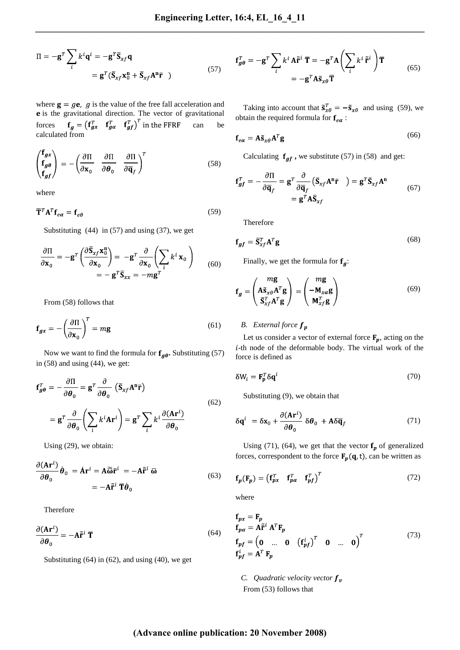$$
\Pi = -\mathbf{g}^T \sum_i k^i \mathbf{q}^i = -\mathbf{g}^T \overline{\mathbf{S}}_{xf} \mathbf{q}
$$
  
= 
$$
\mathbf{g}^T (\overline{\mathbf{S}}_{xf} \mathbf{x}_0^n + \overline{\mathbf{S}}_{xf} \mathbf{A}^n \overline{\mathbf{r}} )
$$
 (57)

where  $\mathbf{g} = g\mathbf{e}$ , g is the value of the free fall acceleration and e is the gravitational direction. The vector of gravitational forces  $f_a = (f_{ax}^T \t f_{aa}^T \t f_{af}^T)$  in the FFRF can be calculated from

$$
\begin{pmatrix} \mathbf{f}_{gx} \\ \mathbf{f}_{g\theta} \\ \mathbf{f}_{gf} \end{pmatrix} = -\left(\frac{\partial \Pi}{\partial \mathbf{x}_0} \quad \frac{\partial \Pi}{\partial \theta_0} \quad \frac{\partial \Pi}{\partial \overline{\mathbf{q}}_f}\right)^T \tag{58}
$$

where

$$
\overline{\mathbf{T}}^T \mathbf{A}^T \mathbf{f}_{e\alpha} = \mathbf{f}_{e\theta} \tag{59}
$$

Substituting  $(44)$  in  $(57)$  and using  $(37)$ , we get

$$
\frac{\partial \Pi}{\partial \mathbf{x}_0} = -\mathbf{g}^T \left( \frac{\partial \overline{\mathbf{S}}_{xf} \mathbf{x}_0^n}{\partial \mathbf{x}_0} \right) = -\mathbf{g}^T \frac{\partial}{\partial \mathbf{x}_0} \left( \sum_i k^i \mathbf{x}_0 \right)
$$

$$
= -\mathbf{g}^T \overline{\mathbf{S}}_{xx} = -m \mathbf{g}^T
$$
(60)

From (58) follows that

$$
\mathbf{f}_{gx} = -\left(\frac{\partial \Pi}{\partial \mathbf{x}_0}\right)^T = m\mathbf{g}
$$
 (61)

Now we want to find the formula for  $f_{g\theta}$ . Substituting (57) in (58) and using (44), we get:

$$
\mathbf{f}_{g\theta}^{T} = -\frac{\partial \Pi}{\partial \theta_{0}} = \mathbf{g}^{T} \frac{\partial}{\partial \theta_{0}} (\bar{\mathbf{S}}_{xf} \mathbf{A}^{n} \bar{\mathbf{r}})
$$

$$
= \mathbf{g}^{T} \frac{\partial}{\partial \theta_{0}} \left( \sum_{i} k^{i} \mathbf{A} \mathbf{r}^{i} \right) = \mathbf{g}^{T} \sum_{i} k^{i} \frac{\partial (\mathbf{A} \mathbf{r}^{i})}{\partial \theta_{0}}
$$
(62)

Using (29), we obtain:

$$
\frac{\partial (\mathbf{A}\mathbf{r}^i)}{\partial \theta_0} \dot{\boldsymbol{\theta}}_0 = \dot{\mathbf{A}} \mathbf{r}^i = \mathbf{A} \widetilde{\mathbf{\omega}} \overline{\mathbf{r}}^i = -\mathbf{A} \widetilde{\mathbf{r}}^i \overline{\mathbf{\omega}} \n= -\mathbf{A} \widetilde{\mathbf{r}}^i \overline{\mathbf{T}} \dot{\boldsymbol{\theta}}_0
$$
\n(63)

Therefore

$$
\frac{\partial (\mathbf{Ar}^i)}{\partial \boldsymbol{\theta}_0} = -\mathbf{A}\tilde{\mathbf{r}}^i \ \overline{\mathbf{T}}
$$
 (64)

Substituting (64) in (62), and using (40), we get

$$
\mathbf{f}_{g\theta}^{T} = -\mathbf{g}^{T} \sum_{i} k^{i} A \tilde{\mathbf{r}}^{i} \overline{\mathbf{T}} = -\mathbf{g}^{T} A \left( \sum_{i} k^{i} \tilde{\mathbf{r}}^{i} \right) \overline{\mathbf{T}}
$$

$$
= -\mathbf{g}^{T} A \tilde{\mathbf{s}}_{x\theta} \overline{\mathbf{T}}
$$
(65)

Taking into account that  $\tilde{\mathbf{s}}_{x\theta}^T = -\tilde{\mathbf{s}}_{x\theta}$  and using (59), we obtain the required formula for  ${\bf f}_{e\alpha}$  :

$$
\mathbf{f}_{e\alpha} = \mathbf{A}\tilde{\mathbf{s}}_{x\theta}\mathbf{A}^T\mathbf{g}
$$
 (66)

Calculating  $f_{gf}$ , we substitute (57) in (58) and get:

$$
\mathbf{f}_{gf}^{T} = -\frac{\partial \Pi}{\partial \overline{\mathbf{q}}_{f}} = \mathbf{g}^{T} \frac{\partial}{\partial \overline{\mathbf{q}}_{f}} (\overline{\mathbf{S}}_{xf} \mathbf{A}^{n} \overline{\mathbf{r}}) = \mathbf{g}^{T} \overline{\mathbf{S}}_{xf} \mathbf{A}^{n}
$$

$$
= \mathbf{g}^{T} \mathbf{A} \overline{\mathbf{S}}_{xf}
$$
(67)

Therefore

$$
\mathbf{f}_{gf} = \overline{\mathbf{S}}_{xf}^T \mathbf{A}^T \mathbf{g}
$$
 (68)

Finally, we get the formula for  $f_g$ :

$$
\mathbf{f}_{g} = \begin{pmatrix} m\mathbf{g} \\ \mathbf{A}\tilde{\mathbf{s}}_{x\theta} \mathbf{A}^{T} \mathbf{g} \\ \overline{\mathbf{s}}_{xf}^{T} \mathbf{A}^{T} \mathbf{g} \end{pmatrix} = \begin{pmatrix} m\mathbf{g} \\ -\mathbf{M}_{xa} \mathbf{g} \\ \mathbf{M}_{xf}^{T} \mathbf{g} \end{pmatrix}
$$
(69)

## *B. External force*

Let us consider a vector of external force  $F_p$ , acting on the i-th node of the deformable body. The virtual work of the force is defined as

$$
\delta W_i = \mathbf{F}_\mathbf{D}^T \delta \mathbf{q}^i \tag{70}
$$

Substituting (9), we obtain that

$$
\delta \mathbf{q}^{i} = \delta \mathbf{x}_{0} + \frac{\partial (\mathbf{A} \mathbf{r}^{i})}{\partial \theta_{0}} \delta \theta_{0} + \mathbf{A} \delta \overline{\mathbf{q}}_{f}
$$
(71)

Using (71), (64), we get that the vector  $f_p$  of generalized forces, correspondent to the force  $F_p(q, t)$ , can be written as

$$
\mathbf{f}_p(\mathbf{F}_p) = \begin{pmatrix} \mathbf{f}_{px}^T & \mathbf{f}_{pq}^T & \mathbf{f}_{pf}^T \end{pmatrix}^T
$$
 (72)

where

$$
\mathbf{f}_{px} = \mathbf{F}_p
$$
\n
$$
\mathbf{f}_{pq} = \mathbf{A}\tilde{\mathbf{r}}^i \mathbf{A}^T \mathbf{F}_p
$$
\n
$$
\mathbf{f}_{pf} = \begin{pmatrix} \mathbf{0} & \dots & \mathbf{0} & \left( \mathbf{f}_{pf}^i \right)^T & \mathbf{0} & \dots & \mathbf{0} \end{pmatrix}^T
$$
\n
$$
\mathbf{f}_{pf}^i = \mathbf{A}^T \mathbf{F}_p
$$
\n(73)

*C. Quadratic velocity vector*  $f_v$ From (53) follows that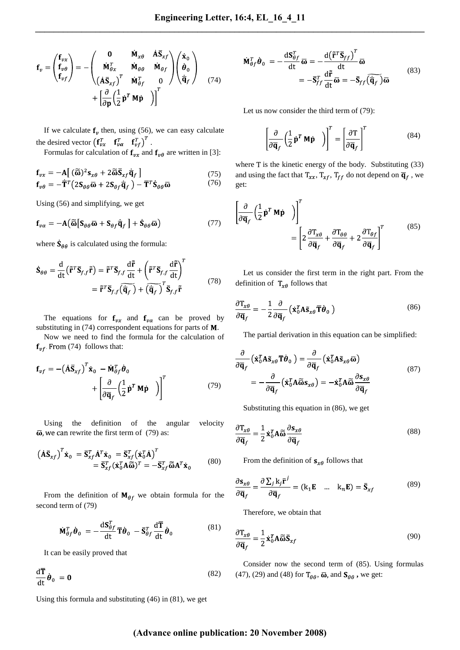$$
\mathbf{f}_{v} = \begin{pmatrix} \mathbf{f}_{vx} \\ \mathbf{f}_{v\theta} \\ \mathbf{f}_{vf} \end{pmatrix} = - \begin{pmatrix} \mathbf{0} & \dot{\mathbf{M}}_{x\theta} & \dot{\mathbf{A}} \bar{\mathbf{S}}_{xf} \\ \dot{\mathbf{M}}_{\theta x} & \dot{\mathbf{M}}_{\theta \theta} & \dot{\mathbf{M}}_{\theta f} \\ (\dot{\mathbf{A}} \bar{\mathbf{S}}_{xf})^{T} & \dot{\mathbf{M}}_{\theta f}^{T} & 0 \end{pmatrix} \begin{pmatrix} \dot{\mathbf{x}}_{0} \\ \dot{\mathbf{\theta}}_{0} \\ \dot{\mathbf{\overline{q}}}_{f} \end{pmatrix}
$$
(74)  
+ 
$$
\begin{bmatrix} \frac{\partial}{\partial \mathbf{p}} \left( \frac{1}{2} \dot{\mathbf{p}}^{T} \mathbf{M} \dot{\mathbf{p}} \right) \end{bmatrix}^{T}
$$

If we calculate  $f<sub>v</sub>$  then, using (56), we can easy calculate the desired vector  $(\mathbf{f}_{vx}^T \quad \mathbf{f}_{va}^T \quad \mathbf{f}_{vf}^T)^T$ .

Formulas for calculation of  $f_{vx}$  and  $f_{v\theta}$  are written in [3]:

$$
\mathbf{f}_{vx} = -\mathbf{A} \left[ \left( \widetilde{\mathbf{\omega}} \right)^2 \mathbf{s}_{x\theta} + 2 \widetilde{\mathbf{\omega}} \overline{\mathbf{s}}_{xf} \overline{\mathbf{q}}_f \right]
$$
 (75)

$$
\mathbf{f}_{\nu\theta} = -\dot{\mathbf{T}}^T \big( 2\mathbf{S}_{\theta\theta} \overline{\mathbf{\omega}} + 2\mathbf{S}_{\theta f} \dot{\mathbf{q}}_f \big) - \overline{\mathbf{T}}^T \dot{\mathbf{S}}_{\theta\theta} \overline{\mathbf{\omega}} \tag{76}
$$

Using (56) and simplifying, we get

$$
\mathbf{f}_{\nu\alpha} = -\mathbf{A} \big( \widetilde{\mathbf{\omega}} \big[ \mathbf{S}_{\theta\theta} \overline{\mathbf{\omega}} + \mathbf{S}_{\theta f} \overline{\mathbf{q}}_f \big] + \dot{\mathbf{S}}_{\theta\theta} \overline{\mathbf{\omega}} \big)
$$
(77)

where  $\dot{\mathbf{S}}_{\theta\theta}$  is calculated using the formula:

$$
\dot{\mathbf{S}}_{\theta\theta} = \frac{d}{dt} \left( \tilde{\mathbf{r}}^T \overline{\mathbf{S}}_{f,f} \tilde{\mathbf{r}} \right) = \tilde{\mathbf{r}}^T \overline{\mathbf{S}}_{f,f} \frac{d\tilde{\mathbf{r}}}{dt} + \left( \tilde{\mathbf{r}}^T \overline{\mathbf{S}}_{f,f} \frac{d\tilde{\mathbf{r}}}{dt} \right)^T
$$

$$
= \tilde{\mathbf{r}}^T \overline{\mathbf{S}}_{f,f} \left( \overline{\dot{\mathbf{q}}_f} \right) + \left( \overline{\dot{\mathbf{q}}_f} \right)^T \overline{\mathbf{S}}_{f,f} \tilde{\mathbf{r}} \tag{78}
$$

The equations for  $f_{vx}$  and  $f_{v\alpha}$  can be proved by substituting in  $(74)$  correspondent equations for parts of M.

Now we need to find the formula for the calculation of  $f_{vf}$ . From (74) follows that:

$$
\mathbf{f}_{vf} = -(\mathbf{A}\mathbf{\bar{S}}_{xf})^T \dot{\mathbf{x}}_0 - \dot{\mathbf{M}}_{gf}^T \dot{\boldsymbol{\theta}}_0 + \begin{bmatrix} \frac{\partial}{\partial \overline{\mathbf{q}}_f} \left(\frac{1}{2} \dot{\mathbf{p}}^T \mathbf{M} \dot{\mathbf{p}} \right) \\ \frac{\partial}{\partial \overline{\mathbf{q}}_f} \left(\frac{1}{2} \dot{\mathbf{p}}^T \mathbf{M} \dot{\mathbf{p}} \right) \end{bmatrix}^T
$$
(79)

Using the definition of the angular velocity  $\overline{\omega}$ , we can rewrite the first term of (79) as:

$$
\begin{aligned} \left(\dot{\mathbf{A}}\mathbf{\bar{S}}_{xf}\right)^{T}\dot{\mathbf{x}}_{0} &= \mathbf{\bar{S}}_{xf}^{T}\dot{\mathbf{A}}^{T}\dot{\mathbf{x}}_{0} = \mathbf{\bar{S}}_{xf}^{T}\left(\dot{\mathbf{x}}_{0}^{T}\dot{\mathbf{A}}\right)^{T} \\ &= \mathbf{\bar{S}}_{xf}^{T}(\dot{\mathbf{x}}_{0}^{T}\mathbf{A}\widetilde{\omega})^{T} = -\mathbf{\bar{S}}_{xf}^{T}\widetilde{\omega}\mathbf{A}^{T}\dot{\mathbf{x}}_{0} \end{aligned} \tag{80}
$$

From the definition of  $M_{\theta f}$  we obtain formula for the second term of (79)

$$
\dot{\mathbf{M}}_{\theta f}^T \dot{\boldsymbol{\theta}}_0 = -\frac{\mathrm{d} \mathbf{S}_{\theta f}^T}{\mathrm{d} \mathbf{t}} \overline{\mathbf{T}} \dot{\boldsymbol{\theta}}_0 - \overline{\mathbf{S}}_{\theta f}^T \frac{\mathrm{d} \overline{\mathbf{T}}}{\mathrm{d} \mathbf{t}} \dot{\boldsymbol{\theta}}_0 \tag{81}
$$

It can be easily proved that

$$
\frac{\mathrm{d}\overline{\mathbf{T}}}{\mathrm{d}t}\dot{\boldsymbol{\theta}}_0 = \mathbf{0} \tag{82}
$$

Using this formula and substituting (46) in (81), we get

$$
\dot{\mathbf{M}}_{\theta f}^T \dot{\boldsymbol{\theta}}_0 = -\frac{d\mathbf{S}_{\theta f}^T}{dt} \overline{\boldsymbol{\omega}} = -\frac{d(\overline{\mathbf{\tilde{r}}}^T \overline{\mathbf{S}}_{ff})'}{dt} \overline{\boldsymbol{\omega}} \n= -\overline{\mathbf{S}}_{ff}^T \frac{d\overline{\mathbf{\tilde{r}}}}{dt} \overline{\boldsymbol{\omega}} = -\overline{\mathbf{S}}_{ff}(\overline{\mathbf{\tilde{q}}_f}) \overline{\boldsymbol{\omega}}
$$
\n(83)

Let us now consider the third term of (79):

$$
\left[\frac{\partial}{\partial \overline{\mathbf{q}}_f} \left(\frac{1}{2} \dot{\mathbf{p}}^T \mathbf{M} \dot{\mathbf{p}} \right)\right]^T = \left[\frac{\partial \mathbf{T}}{\partial \overline{\mathbf{q}}_f}\right]^T \tag{84}
$$

where  $T$  is the kinetic energy of the body. Substituting  $(33)$ and using the fact that  $T_{xx}$ ,  $T_{xf}$ ,  $T_{ff}$  do not depend on  $\overline{\mathbf{q}}_f$ , we get:

$$
\left[\frac{\partial}{\partial \overline{\mathbf{q}}_f} \left(\frac{1}{2} \dot{\mathbf{p}}^T \mathbf{M} \dot{\mathbf{p}}\right)\right]^T = \left[2 \frac{\partial \mathbf{T}_{x\theta}}{\partial \overline{\mathbf{q}}_f} + \frac{\partial \mathbf{T}_{\theta\theta}}{\partial \overline{\mathbf{q}}_f} + 2 \frac{\partial \mathbf{T}_{\theta f}}{\partial \overline{\mathbf{q}}_f}\right]^T
$$
\n(85)

Let us consider the first term in the right part. From the definition of  $T_{x\theta}$  follows that

$$
\frac{\partial \mathbf{T}_{x\theta}}{\partial \overline{\mathbf{q}}_f} = -\frac{1}{2} \frac{\partial}{\partial \overline{\mathbf{q}}_f} \left( \dot{\mathbf{x}}_0^T \mathbf{A} \tilde{\mathbf{s}}_{x\theta} \overline{\mathbf{T}} \dot{\boldsymbol{\theta}}_0 \right)
$$
(86)

The partial derivation in this equation can be simplified:

$$
\frac{\partial}{\partial \overline{\mathbf{q}}_f} \left( \dot{\mathbf{x}}_0^T \mathbf{A} \tilde{\mathbf{s}}_{x\theta} \overline{\mathbf{T}} \dot{\theta}_0 \right) = \frac{\partial}{\partial \overline{\mathbf{q}}_f} \left( \dot{\mathbf{x}}_0^T \mathbf{A} \tilde{\mathbf{s}}_{x\theta} \overline{\mathbf{\omega}} \right)
$$
\n
$$
= -\frac{\partial}{\partial \overline{\mathbf{q}}_f} \left( \dot{\mathbf{x}}_0^T \mathbf{A} \overline{\tilde{\mathbf{\omega}}} \dot{\mathbf{s}}_{x\theta} \right) = -\dot{\mathbf{x}}_0^T \mathbf{A} \overline{\tilde{\mathbf{\omega}}} \frac{\partial \mathbf{s}_{x\theta}}{\partial \overline{\mathbf{q}}_f}
$$
\n(87)

Substituting this equation in (86), we get

$$
\frac{\partial \mathbf{T}_{x\theta}}{\partial \overline{\mathbf{q}}_f} = \frac{1}{2} \dot{\mathbf{x}}_0^T \mathbf{A} \widetilde{\boldsymbol{\omega}} \frac{\partial \mathbf{s}_{x\theta}}{\partial \overline{\mathbf{q}}_f}
$$
(88)

From the definition of  $s_{x\theta}$  follows that

$$
\frac{\partial \mathbf{s}_{x\theta}}{\partial \overline{\mathbf{q}}_f} = \frac{\partial \sum_j \mathbf{k}_j \overline{\mathbf{r}}^j}{\partial \overline{\mathbf{q}}_f} = (\mathbf{k}_1 \mathbf{E} \quad \dots \quad \mathbf{k}_n \mathbf{E}) = \overline{\mathbf{S}}_{xf}
$$
(89)

Therefore, we obtain that

$$
\frac{\partial \mathbf{T}_{x\theta}}{\partial \overline{\mathbf{q}}_f} = \frac{1}{2} \dot{\mathbf{x}}_0^T \mathbf{A} \widetilde{\boldsymbol{\omega}} \overline{\mathbf{S}}_{xf}
$$
(90)

Consider now the second term of (85). Using formulas (47), (29) and (48) for  $T_{\theta\theta}$ ,  $\overline{\omega}$ , and  $S_{\theta\theta}$ , we get: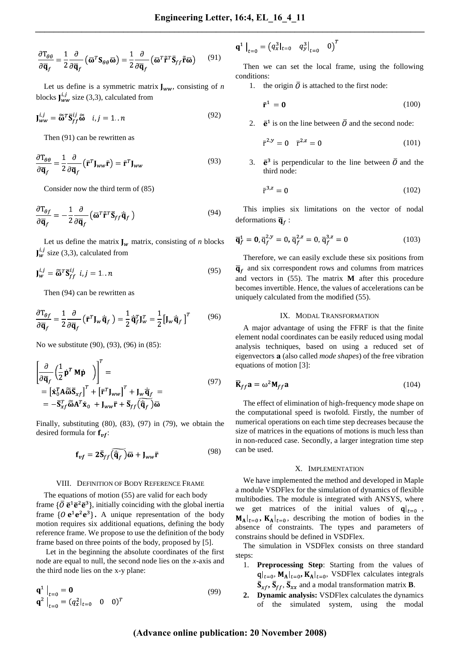$$
\frac{\partial \mathbf{T}_{\theta\theta}}{\partial \overline{\mathbf{q}}_f} = \frac{1}{2} \frac{\partial}{\partial \overline{\mathbf{q}}_f} \left( \overline{\mathbf{\omega}}^T \mathbf{S}_{\theta\theta} \overline{\mathbf{\omega}} \right) = \frac{1}{2} \frac{\partial}{\partial \overline{\mathbf{q}}_f} \left( \overline{\mathbf{\omega}}^T \tilde{\mathbf{r}}^T \overline{\mathbf{S}}_{ff} \tilde{\mathbf{r}} \overline{\mathbf{\omega}} \right) \tag{91}
$$

Let us define is a symmetric matrix  $J_{ww}$ , consisting of *n* blocks  $\mathbf{J}_{WW}^{i,j}$  size (3,3), calculated from

$$
\mathbf{J}_{ww}^{i,j} = \widetilde{\mathbf{\omega}}^T \overline{\mathbf{S}}_{ff}^{ij} \widetilde{\mathbf{\omega}} \quad i, j = 1...n \tag{92}
$$

Then (91) can be rewritten as

$$
\frac{\partial \mathbf{T}_{\theta\theta}}{\partial \overline{\mathbf{q}}_f} = \frac{1}{2} \frac{\partial}{\partial \overline{\mathbf{q}}_f} \left( \overline{\mathbf{r}}^T \mathbf{J}_{ww} \overline{\mathbf{r}} \right) = \overline{\mathbf{r}}^T \mathbf{J}_{ww}
$$
(93)

Consider now the third term of (85)

$$
\frac{\partial \mathbf{T}_{\theta f}}{\partial \overline{\mathbf{q}}_f} = -\frac{1}{2} \frac{\partial}{\partial \overline{\mathbf{q}}_f} \left( \overline{\mathbf{\omega}}^T \tilde{\mathbf{r}}^T \overline{\mathbf{S}}_{ff} \overline{\mathbf{q}}_f \right)
$$
(94)

Let us define the matrix  $J_w$  matrix, consisting of *n* blocks  $J_w^{i,j}$  size (3,3), calculated from

$$
\mathbf{J}_w^{i,j} = \widetilde{\mathbf{\omega}}^T \mathbf{\bar{S}}_{ff}^{ij} \ \ i,j = 1..n \tag{95}
$$

Then (94) can be rewritten as

$$
\frac{\partial \mathbf{T}_{\theta f}}{\partial \overline{\mathbf{q}}_f} = \frac{1}{2} \frac{\partial}{\partial \overline{\mathbf{q}}_f} \left( \overline{\mathbf{r}}^T \mathbf{J}_w \overline{\mathbf{q}}_f \right) = \frac{1}{2} \overline{\mathbf{q}}_f^T \mathbf{J}_w^T = \frac{1}{2} \left[ \mathbf{J}_w \overline{\mathbf{q}}_f \right]^T \tag{96}
$$

No we substitute (90), (93), (96) in (85):

$$
\begin{aligned}\n\left[\frac{\partial}{\partial \overline{\mathbf{q}}_f} \left(\frac{1}{2} \dot{\mathbf{p}}^T \mathbf{M} \dot{\mathbf{p}}\right)\right]^T &= \\
&= \left[\dot{\mathbf{x}}_0^T \mathbf{A} \widetilde{\boldsymbol{\omega}} \overline{\mathbf{S}}_{xf}\right]^T + \left[\bar{\mathbf{r}}^T \mathbf{J}_{ww}\right]^T + \mathbf{J}_w \dot{\overline{\mathbf{q}}}_f = \\
&= -\overline{\mathbf{S}}_{xf}^T \widetilde{\boldsymbol{\omega}} \mathbf{A}^T \dot{\mathbf{x}}_0 + \mathbf{J}_{ww} \overline{\mathbf{r}} + \overline{\mathbf{S}}_{ff} \left(\dot{\overline{\mathbf{q}}_f}\right) \overline{\boldsymbol{\omega}}\n\end{aligned} \tag{97}
$$

Finally, substituting (80), (83), (97) in (79), we obtain the desired formula for  $f_{vf}$ :

$$
\mathbf{f}_{vf} = 2\overline{\mathbf{S}}_{ff}(\overline{\dot{\mathbf{q}}_f})\overline{\mathbf{\omega}} + \mathbf{J}_{ww}\overline{\mathbf{r}}
$$
 (98)

#### VIII. DEFINITION OF BODY REFERENCE FRAME

The equations of motion (55) are valid for each body frame  $\{\overline{O} \overline{e}^1 \overline{e}^2 \overline{e}^3\}$ , initially coinciding with the global inertia frame  $\{0 \, \mathbf{e}^1 \mathbf{e}^2 \mathbf{e}^3\}$ . A unique representation of the body motion requires six additional equations, defining the body reference frame. We propose to use the definition of the body frame based on three points of the body, proposed by [5].

Let in the beginning the absolute coordinates of the first node are equal to null, the second node lies on the *x*-axis and the third node lies on the x-y plane:

$$
\begin{aligned} \mathbf{q}^1 \big|_{t=0} &= \mathbf{0} \\ \mathbf{q}^2 \big|_{t=0} &= (q_x^2|_{t=0} \quad 0 \quad 0)^T \end{aligned} \tag{99}
$$

$$
\mathbf{q}^1 \big|_{t=0} = (q_x^3|_{t=0} \quad q_y^3\big|_{t=0} \quad 0 \big)^T
$$

Then we can set the local frame, using the following conditions:

1. the origin  $\overline{0}$  is attached to the first node:

$$
\mathbf{\bar{r}}^1 = \mathbf{0} \tag{100}
$$

2.  $\mathbf{\overline{e}}^1$  is on the line between  $\overline{0}$  and the second node:

$$
\bar{\mathbf{r}}^{2,\mathcal{Y}} = 0 \quad \bar{\mathbf{r}}^{2,\mathcal{Z}} = 0 \tag{101}
$$

3.  $\bar{\mathbf{e}}^3$  is perpendicular to the line between  $\bar{O}$  and the third node:

$$
\overline{\mathbf{r}}^{3,z} = 0 \tag{102}
$$

This implies six limitations on the vector of nodal deformations  $\overline{\mathbf{q}}_f$ :

$$
\overline{\mathbf{q}}_f^1 = \mathbf{0}, \overline{\mathbf{q}}_f^{2,y} = 0, \overline{\mathbf{q}}_f^{2,z} = 0, \overline{\mathbf{q}}_f^{3,z} = 0 \tag{103}
$$

Therefore, we can easily exclude these six positions from  $\overline{\mathbf{q}}_f$  and six correspondent rows and columns from matrices and vectors in (55). The matrix **M** after this procedure becomes invertible. Hence, the values of accelerations can be uniquely calculated from the modified (55).

#### IX. MODAL TRANSFORMATION

A major advantage of using the FFRF is that the finite element nodal coordinates can be easily reduced using modal analysis techniques, based on using a reduced set of eigenvectors **a** (also called *mode shapes*) of the free vibration equations of motion [3]:

$$
\overline{\mathbf{K}}_{ff} \mathbf{a} = \omega^2 \mathbf{M}_{ff} \mathbf{a}
$$
 (104)

The effect of elimination of high-frequency mode shape on the computational speed is twofold. Firstly, the number of numerical operations on each time step decreases because the size of matrices in the equations of motions is much less than in non-reduced case. Secondly, a larger integration time step can be used.

#### X. IMPLEMENTATION

We have implemented the method and developed in Maple a module VSDFlex for the simulation of dynamics of flexible multibodies. The module is integrated with ANSYS, where we get matrices of the initial values of  $q|_{t=0}$ ,  $\mathbf{M}_{\mathbf{A}}|_{t=0}$ ,  $\mathbf{K}_{\mathbf{A}}|_{t=0}$ , describing the motion of bodies in the absence of constraints. The types and parameters of constrains should be defined in VSDFlex.

The simulation in VSDFlex consists on three standard steps:

- 1. **Preprocessing Step**: Starting from the values of  $q|_{t=0}$ ,  $M_A|_{t=0}$ ,  $K_A|_{t=0}$ , VSDFlex calculates integrals  $\overline{S}_{xf}, \overline{S}_{ff}, \overline{S}_{xx}$  and a modal transformation matrix **B**.
- **2. Dynamic analysis:** VSDFlex calculates the dynamics of the simulated system, using the modal